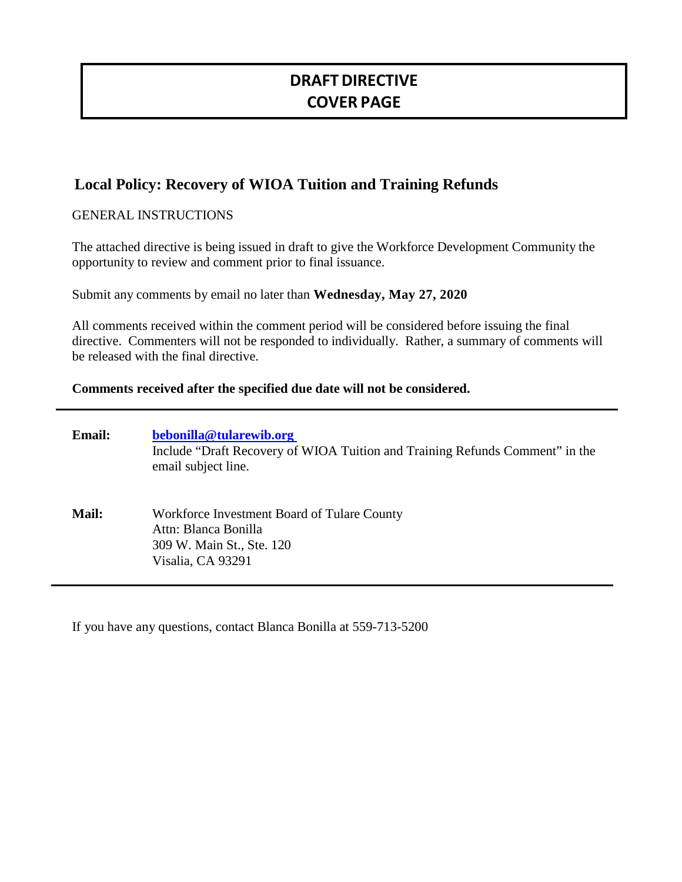# **DRAFTDIRECTIVE COVER PAGE**

## **Local Policy: Recovery of WIOA Tuition and Training Refunds**

### GENERAL INSTRUCTIONS

The attached directive is being issued in draft to give the Workforce Development Community the opportunity to review and comment prior to final issuance.

Submit any comments by email no later than **Wednesday, May 27, 2020** 

All comments received within the comment period will be considered before issuing the final directive. Commenters will not be responded to individually. Rather, a summary of comments will be released with the final directive.

#### **Comments received after the specified due date will not be considered.**

| <b>Email:</b> | bebonilla@tularewib.org<br>Include "Draft Recovery of WIOA Tuition and Training Refunds Comment" in the<br>email subject line. |
|---------------|--------------------------------------------------------------------------------------------------------------------------------|
| <b>Mail:</b>  | Workforce Investment Board of Tulare County<br>Attn: Blanca Bonilla<br>309 W. Main St., Ste. 120<br>Visalia, CA 93291          |

If you have any questions, contact Blanca Bonilla at 559-713-5200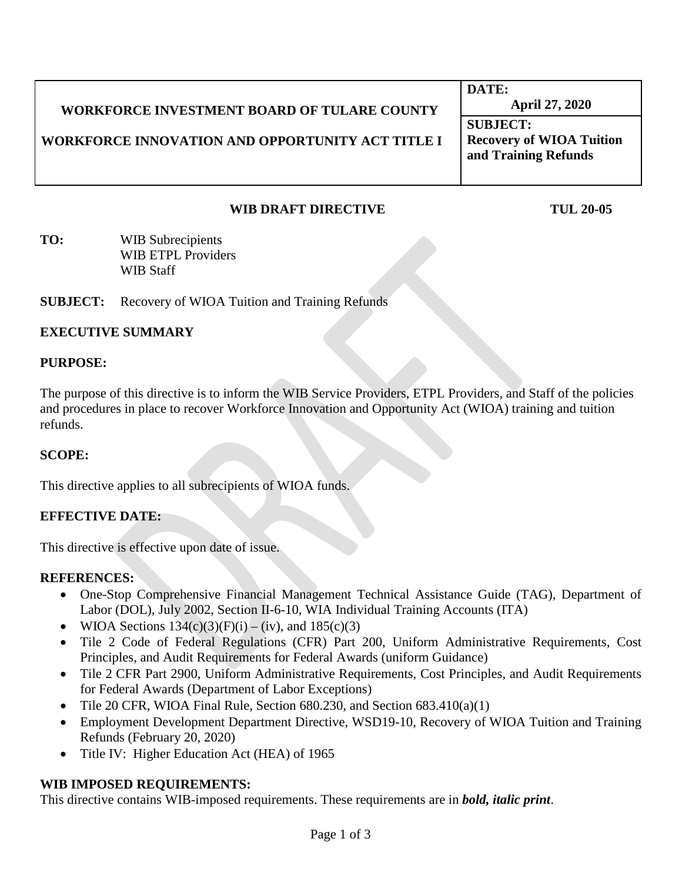# **WORKFORCE INVESTMENT BOARD OF TULARE COUNTY**

**WORKFORCE INNOVATION AND OPPORTUNITY ACT TITLE I**

**DATE: April 27, 2020**

**SUBJECT: Recovery of WIOA Tuition and Training Refunds** 

## **WIB DRAFT DIRECTIVE TUL 20-05**

**TO:** WIB Subrecipients WIB ETPL Providers WIB Staff

**SUBJECT:** Recovery of WIOA Tuition and Training Refunds

## **EXECUTIVE SUMMARY**

#### **PURPOSE:**

The purpose of this directive is to inform the WIB Service Providers, ETPL Providers, and Staff of the policies and procedures in place to recover Workforce Innovation and Opportunity Act (WIOA) training and tuition refunds.

#### **SCOPE:**

This directive applies to all subrecipients of WIOA funds.

## **EFFECTIVE DATE:**

This directive is effective upon date of issue.

#### **REFERENCES:**

- One-Stop Comprehensive Financial Management Technical Assistance Guide (TAG), Department of Labor (DOL), July 2002, Section II-6-10, WIA Individual Training Accounts (ITA)
- WIOA Sections  $134(c)(3)(F)(i) (iv)$ , and  $185(c)(3)$
- Tile 2 Code of Federal Regulations (CFR) Part 200, Uniform Administrative Requirements, Cost Principles, and Audit Requirements for Federal Awards (uniform Guidance)
- Tile 2 CFR Part 2900, Uniform Administrative Requirements, Cost Principles, and Audit Requirements for Federal Awards (Department of Labor Exceptions)
- Tile 20 CFR, WIOA Final Rule, Section  $680.230$ , and Section  $683.410(a)(1)$
- Employment Development Department Directive, WSD19-10, Recovery of WIOA Tuition and Training Refunds (February 20, 2020)
- Title IV: Higher Education Act (HEA) of 1965

## **WIB IMPOSED REQUIREMENTS:**

This directive contains WIB-imposed requirements. These requirements are in *bold, italic print*.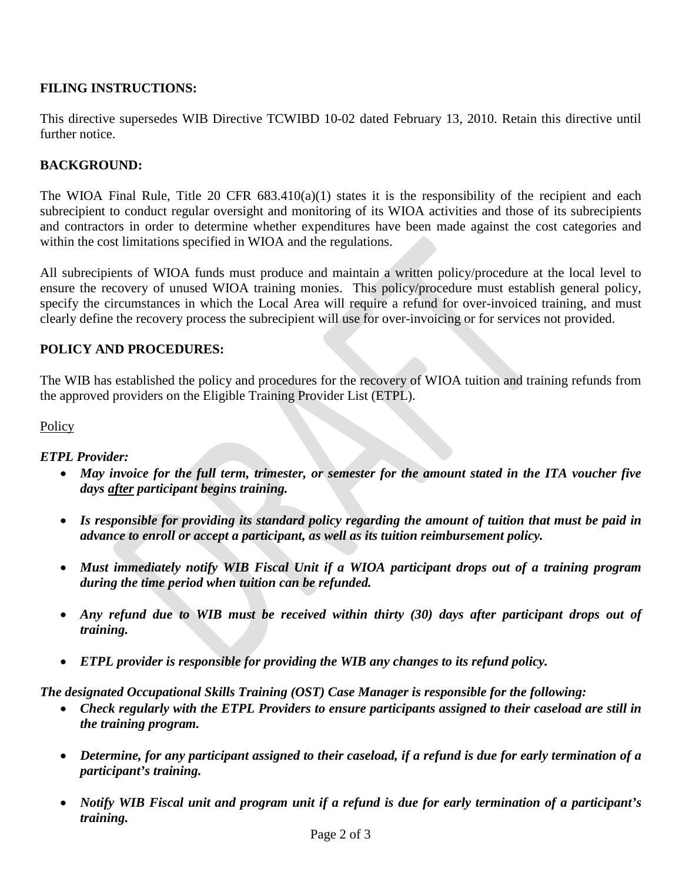## **FILING INSTRUCTIONS:**

This directive supersedes WIB Directive TCWIBD 10-02 dated February 13, 2010. Retain this directive until further notice.

## **BACKGROUND:**

The WIOA Final Rule, Title 20 CFR 683.410(a)(1) states it is the responsibility of the recipient and each subrecipient to conduct regular oversight and monitoring of its WIOA activities and those of its subrecipients and contractors in order to determine whether expenditures have been made against the cost categories and within the cost limitations specified in WIOA and the regulations.

All subrecipients of WIOA funds must produce and maintain a written policy/procedure at the local level to ensure the recovery of unused WIOA training monies. This policy/procedure must establish general policy, specify the circumstances in which the Local Area will require a refund for over-invoiced training, and must clearly define the recovery process the subrecipient will use for over-invoicing or for services not provided.

## **POLICY AND PROCEDURES:**

The WIB has established the policy and procedures for the recovery of WIOA tuition and training refunds from the approved providers on the Eligible Training Provider List (ETPL).

#### **Policy**

## *ETPL Provider:*

- May invoice for the full term, trimester, or semester for the amount stated in the ITA voucher five *days after participant begins training.*
- *Is responsible for providing its standard policy regarding the amount of tuition that must be paid in advance to enroll or accept a participant, as well as its tuition reimbursement policy.*
- *Must immediately notify WIB Fiscal Unit if a WIOA participant drops out of a training program during the time period when tuition can be refunded.*
- *Any refund due to WIB must be received within thirty (30) days after participant drops out of training.*
- *ETPL provider is responsible for providing the WIB any changes to its refund policy.*

*The designated Occupational Skills Training (OST) Case Manager is responsible for the following:* 

- *Check regularly with the ETPL Providers to ensure participants assigned to their caseload are still in the training program.*
- *Determine, for any participant assigned to their caseload, if a refund is due for early termination of a participant's training.*
- *Notify WIB Fiscal unit and program unit if a refund is due for early termination of a participant's training.*